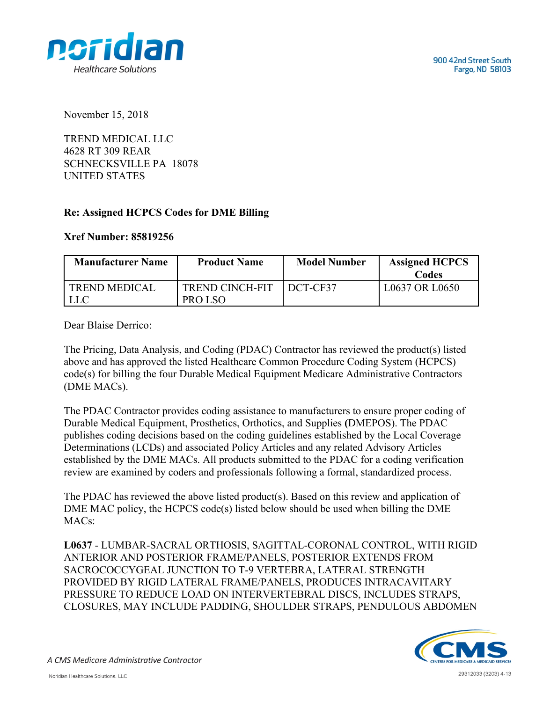



November 15, 2018

TREND MEDICAL LLC 4628 RT 309 REAR SCHNECKSVILLE PA 18078 UNITED STATES

## **Re: Assigned HCPCS Codes for DME Billing**

## **Xref Number: 85819256**

| <b>Product Name</b> | <b>Model Number</b>    | <b>Assigned HCPCS</b><br>Codes |
|---------------------|------------------------|--------------------------------|
|                     |                        | L0637 OR L0650                 |
|                     |                        |                                |
|                     | <b>TREND CINCH-FIT</b> | DCT-CF37<br>PRO LSO            |

Dear Blaise Derrico:

The Pricing, Data Analysis, and Coding (PDAC) Contractor has reviewed the product(s) listed above and has approved the listed Healthcare Common Procedure Coding System (HCPCS) code(s) for billing the four Durable Medical Equipment Medicare Administrative Contractors (DME MACs).

The PDAC Contractor provides coding assistance to manufacturers to ensure proper coding of Durable Medical Equipment, Prosthetics, Orthotics, and Supplies **(**DMEPOS). The PDAC publishes coding decisions based on the coding guidelines established by the Local Coverage Determinations (LCDs) and associated Policy Articles and any related Advisory Articles established by the DME MACs. All products submitted to the PDAC for a coding verification review are examined by coders and professionals following a formal, standardized process.

The PDAC has reviewed the above listed product(s). Based on this review and application of DME MAC policy, the HCPCS code(s) listed below should be used when billing the DME MACs:

**L0637** - LUMBAR-SACRAL ORTHOSIS, SAGITTAL-CORONAL CONTROL, WITH RIGID ANTERIOR AND POSTERIOR FRAME/PANELS, POSTERIOR EXTENDS FROM SACROCOCCYGEAL JUNCTION TO T-9 VERTEBRA, LATERAL STRENGTH PROVIDED BY RIGID LATERAL FRAME/PANELS, PRODUCES INTRACAVITARY PRESSURE TO REDUCE LOAD ON INTERVERTEBRAL DISCS, INCLUDES STRAPS, CLOSURES, MAY INCLUDE PADDING, SHOULDER STRAPS, PENDULOUS ABDOMEN



A CMS Medicare Administrative Contractor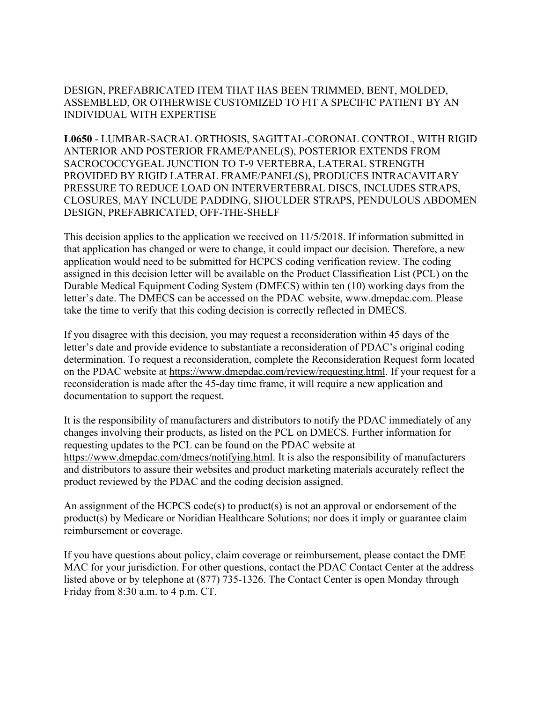DESIGN, PREFABRICATED ITEM THAT HAS BEEN TRIMMED, BENT, MOLDED, ASSEMBLED, OR OTHERWISE CUSTOMIZED TO FIT A SPECIFIC PATIENT BY AN INDIVIDUAL WITH EXPERTISE

**L0650** - LUMBAR-SACRAL ORTHOSIS, SAGITTAL-CORONAL CONTROL, WITH RIGID ANTERIOR AND POSTERIOR FRAME/PANEL(S), POSTERIOR EXTENDS FROM SACROCOCCYGEAL JUNCTION TO T-9 VERTEBRA, LATERAL STRENGTH PROVIDED BY RIGID LATERAL FRAME/PANEL(S), PRODUCES INTRACAVITARY PRESSURE TO REDUCE LOAD ON INTERVERTEBRAL DISCS, INCLUDES STRAPS, CLOSURES, MAY INCLUDE PADDING, SHOULDER STRAPS, PENDULOUS ABDOMEN DESIGN, PREFABRICATED, OFF-THE-SHELF

This decision applies to the application we received on 11/5/2018. If information submitted in that application has changed or were to change, it could impact our decision. Therefore, a new application would need to be submitted for HCPCS coding verification review. The coding assigned in this decision letter will be available on the Product Classification List (PCL) on the Durable Medical Equipment Coding System (DMECS) within ten (10) working days from the letter's date. The DMECS can be accessed on the PDAC website, www.dmepdac.com. Please take the time to verify that this coding decision is correctly reflected in DMECS.

If you disagree with this decision, you may request a reconsideration within 45 days of the letter's date and provide evidence to substantiate a reconsideration of PDAC's original coding determination. To request a reconsideration, complete the Reconsideration Request form located on the PDAC website at https://www.dmepdac.com/review/requesting.html. If your request for a reconsideration is made after the 45-day time frame, it will require a new application and documentation to support the request.

It is the responsibility of manufacturers and distributors to notify the PDAC immediately of any changes involving their products, as listed on the PCL on DMECS. Further information for requesting updates to the PCL can be found on the PDAC website at https://www.dmepdac.com/dmecs/notifying.html. It is also the responsibility of manufacturers and distributors to assure their websites and product marketing materials accurately reflect the product reviewed by the PDAC and the coding decision assigned.

An assignment of the HCPCS code(s) to product(s) is not an approval or endorsement of the product(s) by Medicare or Noridian Healthcare Solutions; nor does it imply or guarantee claim reimbursement or coverage.

If you have questions about policy, claim coverage or reimbursement, please contact the DME MAC for your jurisdiction. For other questions, contact the PDAC Contact Center at the address listed above or by telephone at (877) 735-1326. The Contact Center is open Monday through Friday from 8:30 a.m. to 4 p.m. CT.